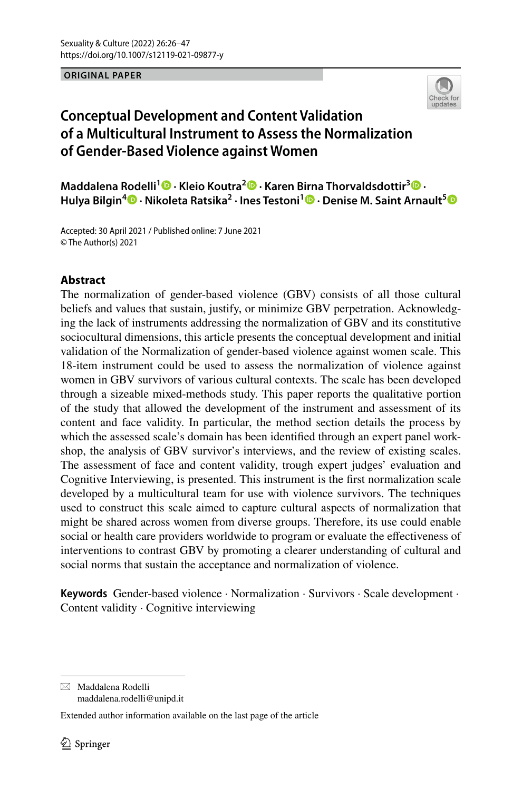**ORIGINAL PAPER**



# **Conceptual Development and Content Validation of a Multicultural Instrument to Assess the Normalization of Gender‑Based Violence against Women**

**Maddalena Rodelli1 · Kleio Koutra2 · Karen Birna Thorvaldsdottir[3](http://orcid.org/0000-0001-7065-1122) · Hulya Bilgin<sup>4</sup> · Nikoleta Ratsika<sup>2</sup> · Ines Testoni1 · Denise M. Saint Arnault[5](http://orcid.org/0000-0002-4436-8347)**

Accepted: 30 April 2021 / Published online: 7 June 2021 © The Author(s) 2021

# **Abstract**

The normalization of gender-based violence (GBV) consists of all those cultural beliefs and values that sustain, justify, or minimize GBV perpetration. Acknowledging the lack of instruments addressing the normalization of GBV and its constitutive sociocultural dimensions, this article presents the conceptual development and initial validation of the Normalization of gender-based violence against women scale. This 18-item instrument could be used to assess the normalization of violence against women in GBV survivors of various cultural contexts. The scale has been developed through a sizeable mixed-methods study. This paper reports the qualitative portion of the study that allowed the development of the instrument and assessment of its content and face validity. In particular, the method section details the process by which the assessed scale's domain has been identifed through an expert panel workshop, the analysis of GBV survivor's interviews, and the review of existing scales. The assessment of face and content validity, trough expert judges' evaluation and Cognitive Interviewing, is presented. This instrument is the frst normalization scale developed by a multicultural team for use with violence survivors. The techniques used to construct this scale aimed to capture cultural aspects of normalization that might be shared across women from diverse groups. Therefore, its use could enable social or health care providers worldwide to program or evaluate the efectiveness of interventions to contrast GBV by promoting a clearer understanding of cultural and social norms that sustain the acceptance and normalization of violence.

**Keywords** Gender-based violence · Normalization · Survivors · Scale development · Content validity · Cognitive interviewing

 $\boxtimes$  Maddalena Rodelli maddalena.rodelli@unipd.it

Extended author information available on the last page of the article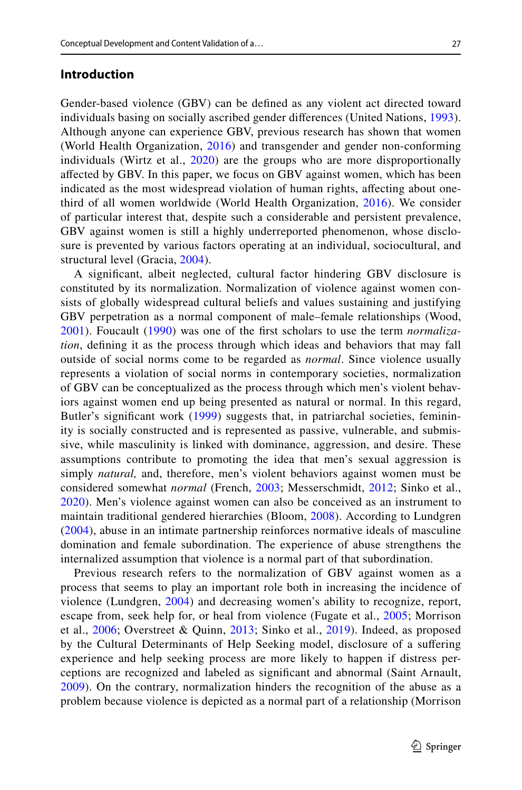### **Introduction**

Gender-based violence (GBV) can be defned as any violent act directed toward individuals basing on socially ascribed gender diferences (United Nations, [1993](#page-21-0)). Although anyone can experience GBV, previous research has shown that women (World Health Organization, [2016\)](#page-20-0) and transgender and gender non-conforming individuals (Wirtz et al., [2020\)](#page-21-1) are the groups who are more disproportionally afected by GBV. In this paper, we focus on GBV against women, which has been indicated as the most widespread violation of human rights, afecting about onethird of all women worldwide (World Health Organization, [2016](#page-20-0)). We consider of particular interest that, despite such a considerable and persistent prevalence, GBV against women is still a highly underreported phenomenon, whose disclosure is prevented by various factors operating at an individual, sociocultural, and structural level (Gracia, [2004](#page-20-1)).

A signifcant, albeit neglected, cultural factor hindering GBV disclosure is constituted by its normalization. Normalization of violence against women consists of globally widespread cultural beliefs and values sustaining and justifying GBV perpetration as a normal component of male–female relationships (Wood, [2001\)](#page-21-2). Foucault [\(1990\)](#page-19-0) was one of the frst scholars to use the term *normalization*, defning it as the process through which ideas and behaviors that may fall outside of social norms come to be regarded as *normal*. Since violence usually represents a violation of social norms in contemporary societies, normalization of GBV can be conceptualized as the process through which men's violent behaviors against women end up being presented as natural or normal. In this regard, Butler's significant work ([1999](#page-19-1)) suggests that, in patriarchal societies, femininity is socially constructed and is represented as passive, vulnerable, and submissive, while masculinity is linked with dominance, aggression, and desire. These assumptions contribute to promoting the idea that men's sexual aggression is simply *natural,* and, therefore, men's violent behaviors against women must be considered somewhat *normal* (French, [2003](#page-20-2); Messerschmidt, [2012](#page-20-3); Sinko et al., [2020\)](#page-21-3). Men's violence against women can also be conceived as an instrument to maintain traditional gendered hierarchies (Bloom, [2008](#page-19-2)). According to Lundgren [\(2004](#page-20-4)), abuse in an intimate partnership reinforces normative ideals of masculine domination and female subordination. The experience of abuse strengthens the internalized assumption that violence is a normal part of that subordination.

Previous research refers to the normalization of GBV against women as a process that seems to play an important role both in increasing the incidence of violence (Lundgren, [2004\)](#page-20-4) and decreasing women's ability to recognize, report, escape from, seek help for, or heal from violence (Fugate et al., [2005;](#page-20-5) Morrison et al., [2006;](#page-20-6) Overstreet & Quinn, [2013](#page-20-7); Sinko et al., [2019](#page-21-4)). Indeed, as proposed by the Cultural Determinants of Help Seeking model, disclosure of a sufering experience and help seeking process are more likely to happen if distress perceptions are recognized and labeled as signifcant and abnormal (Saint Arnault, [2009\)](#page-20-8). On the contrary, normalization hinders the recognition of the abuse as a problem because violence is depicted as a normal part of a relationship (Morrison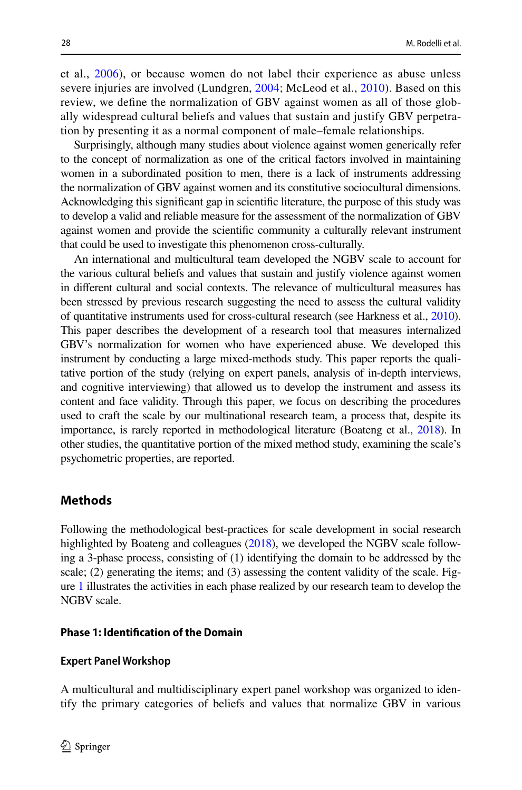et al., [2006](#page-20-6)), or because women do not label their experience as abuse unless severe injuries are involved (Lundgren, [2004](#page-20-4); McLeod et al., [2010](#page-20-9)). Based on this review, we defne the normalization of GBV against women as all of those globally widespread cultural beliefs and values that sustain and justify GBV perpetration by presenting it as a normal component of male–female relationships.

Surprisingly, although many studies about violence against women generically refer to the concept of normalization as one of the critical factors involved in maintaining women in a subordinated position to men, there is a lack of instruments addressing the normalization of GBV against women and its constitutive sociocultural dimensions. Acknowledging this signifcant gap in scientifc literature, the purpose of this study was to develop a valid and reliable measure for the assessment of the normalization of GBV against women and provide the scientifc community a culturally relevant instrument that could be used to investigate this phenomenon cross-culturally.

An international and multicultural team developed the NGBV scale to account for the various cultural beliefs and values that sustain and justify violence against women in diferent cultural and social contexts. The relevance of multicultural measures has been stressed by previous research suggesting the need to assess the cultural validity of quantitative instruments used for cross-cultural research (see Harkness et al., [2010\)](#page-20-10). This paper describes the development of a research tool that measures internalized GBV's normalization for women who have experienced abuse. We developed this instrument by conducting a large mixed-methods study. This paper reports the qualitative portion of the study (relying on expert panels, analysis of in-depth interviews, and cognitive interviewing) that allowed us to develop the instrument and assess its content and face validity. Through this paper, we focus on describing the procedures used to craft the scale by our multinational research team, a process that, despite its importance, is rarely reported in methodological literature (Boateng et al., [2018\)](#page-19-3). In other studies, the quantitative portion of the mixed method study, examining the scale's psychometric properties, are reported.

# **Methods**

Following the methodological best-practices for scale development in social research highlighted by Boateng and colleagues [\(2018\)](#page-19-3), we developed the NGBV scale following a 3-phase process, consisting of (1) identifying the domain to be addressed by the scale; (2) generating the items; and (3) assessing the content validity of the scale. Figure [1](#page-3-0) illustrates the activities in each phase realized by our research team to develop the NGBV scale.

### **Phase 1: Identifcation of the Domain**

### **Expert Panel Workshop**

A multicultural and multidisciplinary expert panel workshop was organized to identify the primary categories of beliefs and values that normalize GBV in various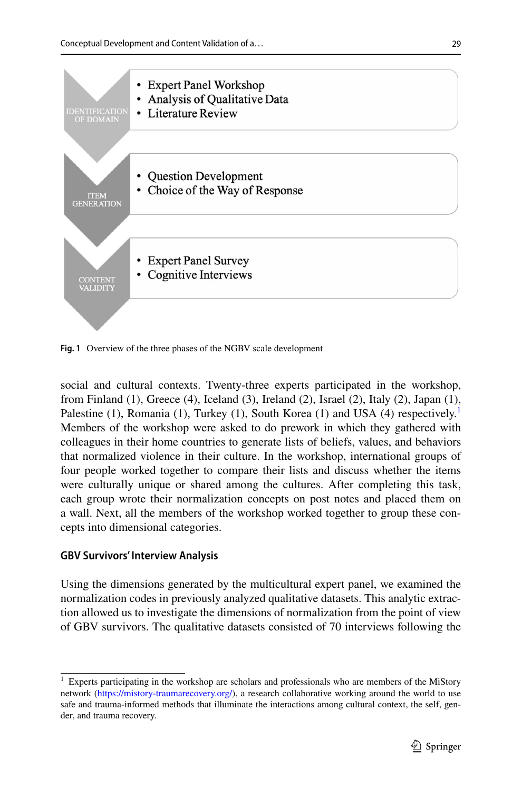

<span id="page-3-0"></span>**Fig. 1** Overview of the three phases of the NGBV scale development

social and cultural contexts. Twenty-three experts participated in the workshop, from Finland (1), Greece (4), Iceland (3), Ireland (2), Israel (2), Italy (2), Japan (1), Palestine ([1](#page-3-1)), Romania (1), Turkey (1), South Korea (1) and USA (4) respectively.<sup>1</sup> Members of the workshop were asked to do prework in which they gathered with colleagues in their home countries to generate lists of beliefs, values, and behaviors that normalized violence in their culture. In the workshop, international groups of four people worked together to compare their lists and discuss whether the items were culturally unique or shared among the cultures. After completing this task, each group wrote their normalization concepts on post notes and placed them on a wall. Next, all the members of the workshop worked together to group these concepts into dimensional categories.

### **GBV Survivors' Interview Analysis**

Using the dimensions generated by the multicultural expert panel, we examined the normalization codes in previously analyzed qualitative datasets. This analytic extraction allowed us to investigate the dimensions of normalization from the point of view of GBV survivors. The qualitative datasets consisted of 70 interviews following the

<span id="page-3-1"></span><sup>&</sup>lt;sup>1</sup> Experts participating in the workshop are scholars and professionals who are members of the MiStory network [\(https://mistory-traumarecovery.org/\)](https://mistory-traumarecovery.org/), a research collaborative working around the world to use safe and trauma-informed methods that illuminate the interactions among cultural context, the self, gender, and trauma recovery.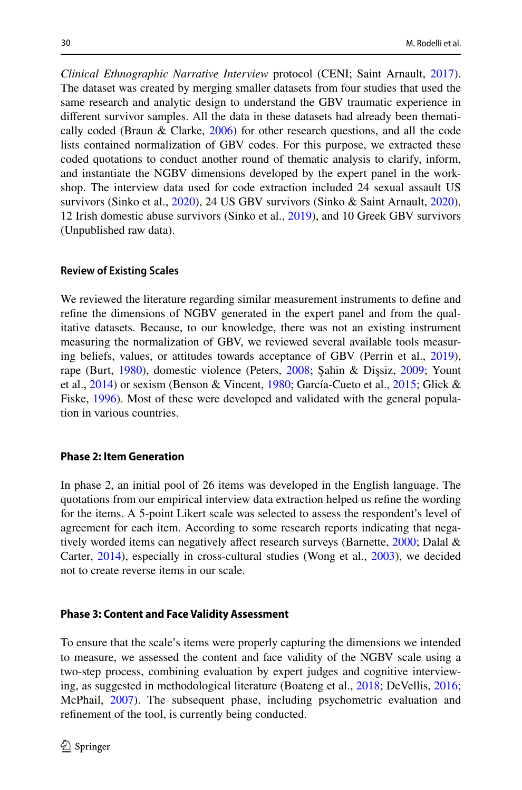*Clinical Ethnographic Narrative Interview* protocol (CENI; Saint Arnault, [2017\)](#page-21-5). The dataset was created by merging smaller datasets from four studies that used the same research and analytic design to understand the GBV traumatic experience in diferent survivor samples. All the data in these datasets had already been thematically coded (Braun & Clarke, [2006](#page-19-4)) for other research questions, and all the code lists contained normalization of GBV codes. For this purpose, we extracted these coded quotations to conduct another round of thematic analysis to clarify, inform, and instantiate the NGBV dimensions developed by the expert panel in the workshop. The interview data used for code extraction included 24 sexual assault US survivors (Sinko et al., [2020](#page-21-3)), 24 US GBV survivors (Sinko & Saint Arnault, [2020\)](#page-21-6), 12 Irish domestic abuse survivors (Sinko et al., [2019\)](#page-21-4), and 10 Greek GBV survivors (Unpublished raw data).

### **Review of Existing Scales**

We reviewed the literature regarding similar measurement instruments to defne and refne the dimensions of NGBV generated in the expert panel and from the qualitative datasets. Because, to our knowledge, there was not an existing instrument measuring the normalization of GBV, we reviewed several available tools measuring beliefs, values, or attitudes towards acceptance of GBV (Perrin et al., [2019\)](#page-20-11), rape (Burt, [1980\)](#page-19-5), domestic violence (Peters, [2008](#page-20-12); Şahin & Dişsiz, [2009](#page-20-13); Yount et al., [2014](#page-21-7)) or sexism (Benson & Vincent, [1980;](#page-19-6) García-Cueto et al., [2015;](#page-20-14) Glick & Fiske, [1996](#page-20-15)). Most of these were developed and validated with the general population in various countries.

### **Phase 2: Item Generation**

In phase 2, an initial pool of 26 items was developed in the English language. The quotations from our empirical interview data extraction helped us refne the wording for the items. A 5-point Likert scale was selected to assess the respondent's level of agreement for each item. According to some research reports indicating that nega-tively worded items can negatively affect research surveys (Barnette, [2000](#page-19-7); Dalal & Carter, [2014](#page-19-8)), especially in cross-cultural studies (Wong et al., [2003\)](#page-21-8), we decided not to create reverse items in our scale.

#### **Phase 3: Content and Face Validity Assessment**

To ensure that the scale's items were properly capturing the dimensions we intended to measure, we assessed the content and face validity of the NGBV scale using a two-step process, combining evaluation by expert judges and cognitive interviewing, as suggested in methodological literature (Boateng et al., [2018](#page-19-3); DeVellis, [2016;](#page-19-9) McPhail, [2007\)](#page-20-16). The subsequent phase, including psychometric evaluation and refnement of the tool, is currently being conducted.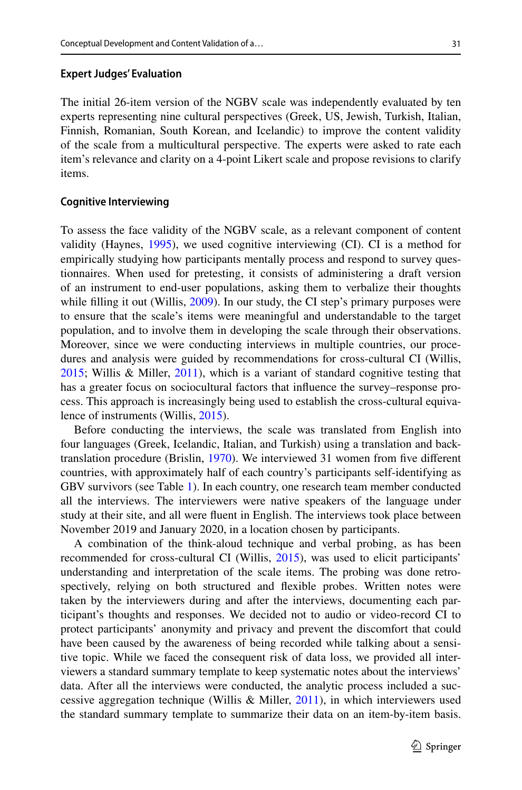#### **Expert Judges' Evaluation**

The initial 26-item version of the NGBV scale was independently evaluated by ten experts representing nine cultural perspectives (Greek, US, Jewish, Turkish, Italian, Finnish, Romanian, South Korean, and Icelandic) to improve the content validity of the scale from a multicultural perspective. The experts were asked to rate each item's relevance and clarity on a 4-point Likert scale and propose revisions to clarify items.

### **Cognitive Interviewing**

To assess the face validity of the NGBV scale, as a relevant component of content validity (Haynes, [1995\)](#page-20-17), we used cognitive interviewing (CI). CI is a method for empirically studying how participants mentally process and respond to survey questionnaires. When used for pretesting, it consists of administering a draft version of an instrument to end-user populations, asking them to verbalize their thoughts while filling it out (Willis, [2009\)](#page-21-9). In our study, the CI step's primary purposes were to ensure that the scale's items were meaningful and understandable to the target population, and to involve them in developing the scale through their observations. Moreover, since we were conducting interviews in multiple countries, our procedures and analysis were guided by recommendations for cross-cultural CI (Willis, [2015](#page-21-10); Willis & Miller, [2011](#page-21-11)), which is a variant of standard cognitive testing that has a greater focus on sociocultural factors that infuence the survey–response process. This approach is increasingly being used to establish the cross-cultural equivalence of instruments (Willis, [2015](#page-21-10)).

Before conducting the interviews, the scale was translated from English into four languages (Greek, Icelandic, Italian, and Turkish) using a translation and backtranslation procedure (Brislin, [1970\)](#page-19-10). We interviewed 31 women from fve diferent countries, with approximately half of each country's participants self-identifying as GBV survivors (see Table [1](#page-6-0)). In each country, one research team member conducted all the interviews. The interviewers were native speakers of the language under study at their site, and all were fuent in English. The interviews took place between November 2019 and January 2020, in a location chosen by participants.

A combination of the think-aloud technique and verbal probing, as has been recommended for cross-cultural CI (Willis, [2015](#page-21-10)), was used to elicit participants' understanding and interpretation of the scale items. The probing was done retrospectively, relying on both structured and fexible probes. Written notes were taken by the interviewers during and after the interviews, documenting each participant's thoughts and responses. We decided not to audio or video-record CI to protect participants' anonymity and privacy and prevent the discomfort that could have been caused by the awareness of being recorded while talking about a sensitive topic. While we faced the consequent risk of data loss, we provided all interviewers a standard summary template to keep systematic notes about the interviews' data. After all the interviews were conducted, the analytic process included a suc-cessive aggregation technique (Willis & Miller, [2011\)](#page-21-11), in which interviewers used the standard summary template to summarize their data on an item-by-item basis.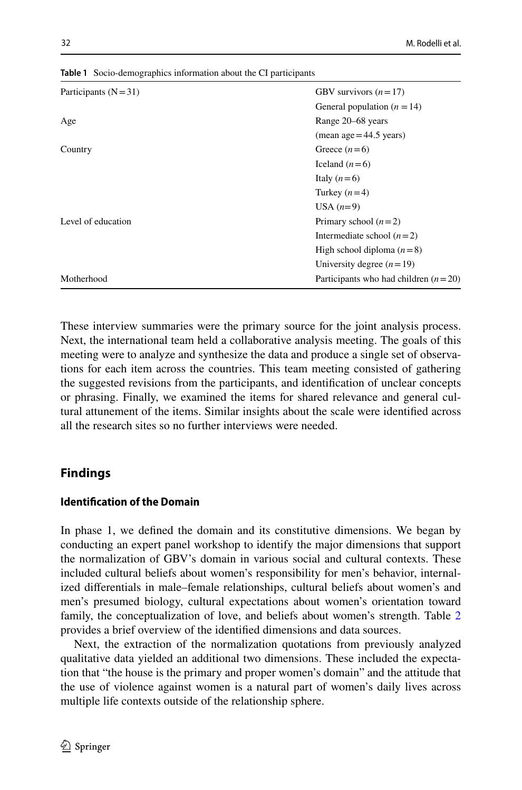| Participants $(N=31)$ | GBV survivors $(n=17)$                 |
|-----------------------|----------------------------------------|
|                       | General population $(n = 14)$          |
| Age                   | Range 20–68 years                      |
|                       | $mean age = 44.5 years)$               |
| Country               | Greece $(n=6)$                         |
|                       | Iceland $(n=6)$                        |
|                       | Italy $(n=6)$                          |
|                       | Turkey $(n=4)$                         |
|                       | USA $(n=9)$                            |
| Level of education    | Primary school $(n=2)$                 |
|                       | Intermediate school $(n=2)$            |
|                       | High school diploma $(n=8)$            |
|                       | University degree $(n=19)$             |
| Motherhood            | Participants who had children $(n=20)$ |

<span id="page-6-0"></span>**Table 1** Socio-demographics information about the CI participants

These interview summaries were the primary source for the joint analysis process. Next, the international team held a collaborative analysis meeting. The goals of this meeting were to analyze and synthesize the data and produce a single set of observations for each item across the countries. This team meeting consisted of gathering the suggested revisions from the participants, and identifcation of unclear concepts or phrasing. Finally, we examined the items for shared relevance and general cultural attunement of the items. Similar insights about the scale were identifed across all the research sites so no further interviews were needed.

# **Findings**

# **Identifcation of the Domain**

In phase 1, we defned the domain and its constitutive dimensions. We began by conducting an expert panel workshop to identify the major dimensions that support the normalization of GBV's domain in various social and cultural contexts. These included cultural beliefs about women's responsibility for men's behavior, internalized diferentials in male–female relationships, cultural beliefs about women's and men's presumed biology, cultural expectations about women's orientation toward family, the conceptualization of love, and beliefs about women's strength. Table [2](#page-7-0) provides a brief overview of the identifed dimensions and data sources.

Next, the extraction of the normalization quotations from previously analyzed qualitative data yielded an additional two dimensions. These included the expectation that "the house is the primary and proper women's domain" and the attitude that the use of violence against women is a natural part of women's daily lives across multiple life contexts outside of the relationship sphere.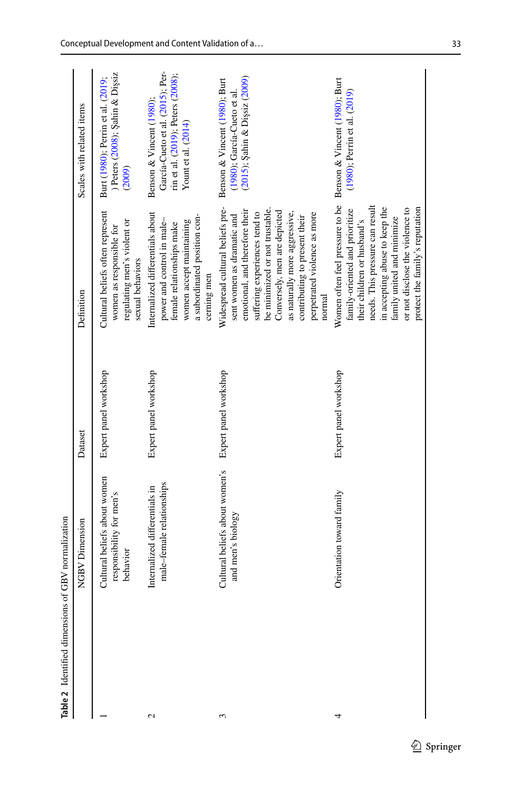<span id="page-7-0"></span>

| Table 2 Identified dimensions of GBV normalization |                                                                      |                       |                                                                                                                                                                                                                                                                                                                 |                                                                                                                            |
|----------------------------------------------------|----------------------------------------------------------------------|-----------------------|-----------------------------------------------------------------------------------------------------------------------------------------------------------------------------------------------------------------------------------------------------------------------------------------------------------------|----------------------------------------------------------------------------------------------------------------------------|
|                                                    | <b>NGBV Dimension</b>                                                | Dataset               | Definition                                                                                                                                                                                                                                                                                                      | Scales with related items                                                                                                  |
|                                                    | Cultural beliefs about women<br>responsibility for men's<br>behavior | Expert panel workshop | Cultural beliefs often represent<br>regulating men's violent or<br>women as responsible for<br>sexual behaviors                                                                                                                                                                                                 | Peters (2008); Şahin & Dişsiz<br>Burt (1980); Perrin et al. (2019;<br>(2009)                                               |
| $\mathcal{L}$                                      | male-female relationships<br>Internalized differentials in           | Expert panel workshop | Internalized differentials about<br>a subordinated position con-<br>power and control in male-<br>women accept maintaining<br>female relationships make<br>cerning men                                                                                                                                          | García-Cueto et al. (2015); Per-<br>rin et al. (2019); Peters (2008);<br>Benson & Vincent (1980);<br>Yount et al. $(2014)$ |
| 3                                                  | Cultural beliefs about women's<br>and men's biology                  | Expert panel workshop | Widespread cultural beliefs pre-<br>be minimized or not trustable.<br>emotional, and therefore their<br>Conversely, men are depicted<br>suffering experiences tend to<br>perpetrated violence as more<br>as naturally more aggressive,<br>sent women as dramatic and<br>contributing to present their<br>normal | (2015); Şahin & Dişsiz (2009)<br>Benson & Vincent (1980); Burt<br>(1980); García-Cueto et al.                              |
| 4                                                  | Orientation toward family                                            | Expert panel workshop | Women often feel pressure to be<br>needs. This pressure can result<br>in accepting abuse to keep the<br>protect the family's reputation<br>or not disclose the violence to<br>family-oriented and prioritize<br>family united and minimize<br>their children or husband's                                       | Benson & Vincent (1980); Burt<br>(1980); Perrin et al. (2019)                                                              |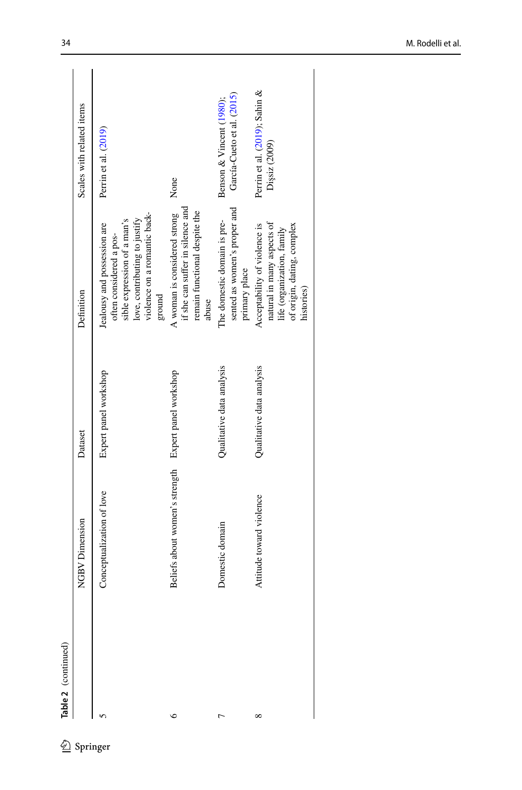| Table 2 (continued) |                                                      |                           |                                                                                                                                                                  |                                                        |
|---------------------|------------------------------------------------------|---------------------------|------------------------------------------------------------------------------------------------------------------------------------------------------------------|--------------------------------------------------------|
|                     | NGBV Dimension                                       | Dataset                   | Definition                                                                                                                                                       | Scales with related items                              |
|                     | Conceptualization of love                            | Expert panel workshop     | violence on a romantic back-<br>love, contributing to justify<br>sible expression of a man's<br>Jealousy and possession are<br>often considered a pos-<br>ground | Perrin et al. (2019)                                   |
| ७                   | Beliefs about women's strength Expert panel workshop |                           | if she can suffer in silence and<br>remain functional despite the<br>A woman is considered strong<br>abuse                                                       | None                                                   |
|                     | Domestic domain                                      | Qualitative data analysis | sented as women's proper and<br>The domestic domain is pre-<br>primary place                                                                                     | García-Cueto et al. (2015)<br>Benson & Vincent (1980); |
| ∞                   | Attitude toward violence                             | Qualitative data analysis | natural in many aspects of<br>Acceptability of violence is<br>of origin, dating, complex<br>life (organization, family<br>histories)                             | Perrin et al. (2019); Sahin &<br>Dişsiz (2009)         |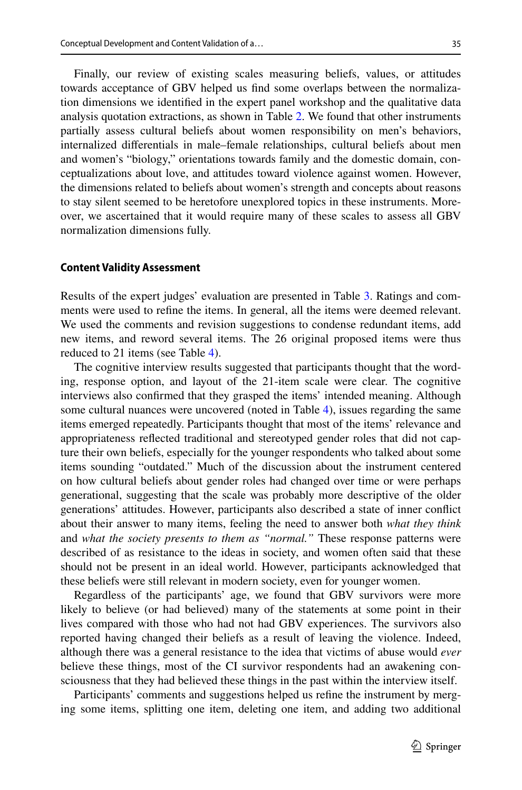Finally, our review of existing scales measuring beliefs, values, or attitudes towards acceptance of GBV helped us fnd some overlaps between the normalization dimensions we identifed in the expert panel workshop and the qualitative data analysis quotation extractions, as shown in Table [2](#page-7-0). We found that other instruments partially assess cultural beliefs about women responsibility on men's behaviors, internalized diferentials in male–female relationships, cultural beliefs about men and women's "biology," orientations towards family and the domestic domain, conceptualizations about love, and attitudes toward violence against women. However, the dimensions related to beliefs about women's strength and concepts about reasons to stay silent seemed to be heretofore unexplored topics in these instruments. Moreover, we ascertained that it would require many of these scales to assess all GBV normalization dimensions fully.

### **Content Validity Assessment**

Results of the expert judges' evaluation are presented in Table [3](#page-10-0). Ratings and comments were used to refne the items. In general, all the items were deemed relevant. We used the comments and revision suggestions to condense redundant items, add new items, and reword several items. The 26 original proposed items were thus reduced to 21 items (see Table [4\)](#page-11-0).

The cognitive interview results suggested that participants thought that the wording, response option, and layout of the 21-item scale were clear. The cognitive interviews also confrmed that they grasped the items' intended meaning. Although some cultural nuances were uncovered (noted in Table [4](#page-11-0)), issues regarding the same items emerged repeatedly. Participants thought that most of the items' relevance and appropriateness refected traditional and stereotyped gender roles that did not capture their own beliefs, especially for the younger respondents who talked about some items sounding "outdated." Much of the discussion about the instrument centered on how cultural beliefs about gender roles had changed over time or were perhaps generational, suggesting that the scale was probably more descriptive of the older generations' attitudes. However, participants also described a state of inner confict about their answer to many items, feeling the need to answer both *what they think* and *what the society presents to them as "normal."* These response patterns were described of as resistance to the ideas in society, and women often said that these should not be present in an ideal world. However, participants acknowledged that these beliefs were still relevant in modern society, even for younger women.

Regardless of the participants' age, we found that GBV survivors were more likely to believe (or had believed) many of the statements at some point in their lives compared with those who had not had GBV experiences. The survivors also reported having changed their beliefs as a result of leaving the violence. Indeed, although there was a general resistance to the idea that victims of abuse would *ever* believe these things, most of the CI survivor respondents had an awakening consciousness that they had believed these things in the past within the interview itself.

Participants' comments and suggestions helped us refne the instrument by merging some items, splitting one item, deleting one item, and adding two additional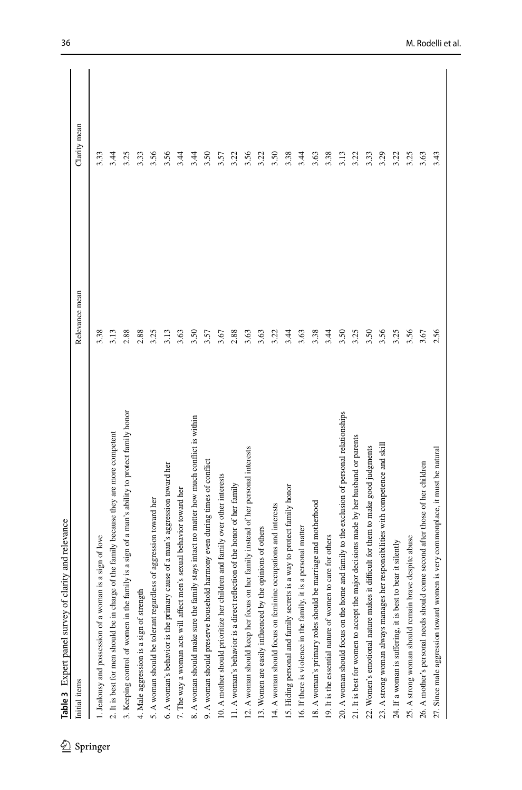| Initial items                                                                                  | Relevance mean | Clarity mean |
|------------------------------------------------------------------------------------------------|----------------|--------------|
|                                                                                                | 3.38           | 3.33         |
| 1. Jealousy and possession of a woman is a sign of love                                        |                |              |
| 2. It is best for men should be in charge of the family because they are more competent        | 3.13           | 3.44         |
| 3. Keeping control of women in the family is a sign of a man's ability to protect family honor | 2.88           | 3.25         |
| 4. Male aggression is a sign of strength                                                       | 2.88           | 3.33         |
| 5. A woman should be tolerant regardless of aggression toward her                              | 3.25           | 3.56         |
| 6. A woman's behavior is the primary cause of a man's aggression toward her                    | 3.13           | 3.56         |
| 7. The way a woman acts will affect men's sexual behavior toward her                           | 3.63           | 3.44         |
| 8. A woman should make sure the family stays intact no matter how much conflict is within      | 3.50           | 3.44         |
| 9. A woman should preserve household harmony even during times of conflict                     | 3.57           | 3.50         |
| 10. A mother should prioritize her children and family over other interests                    | 3.67           | 3.57         |
| 11. A woman's behavior is a direct reflection of the honor of her family                       | 2.88           | 3.22         |
| 12. A woman should keep her focus on her family instead of her personal interests              | 3.63           | 3.56         |
| 13. Women are easily influenced by the opinions of others                                      | 3.63           | 3.22         |
| 14. A woman should focus on feminine occupations and interests                                 | 3.22           | 3.50         |
| 15. Hiding personal and family secrets is a way to protect family honor                        | 3.44           | 3.38         |
| is a personal matter<br>16. If there is violence in the family, it                             | 3.63           | 3.44         |
| 18. A woman's primary roles should be marriage and motherhood                                  | 3.38           | 3.63         |
| to care for others<br>19. It is the essential nature of women                                  | 3.44           | 3.38         |
| 20. A woman should focus on the home and family to the exclusion of personal relationships     | 3.50           | 3.13         |
| 21. It is best for women to accept the major decisions made by her husband or parents          | 3.25           | 3.22         |
| 22. Women's emotional nature makes it difficult for them to make good judgments                | 3.50           | 3.33         |
| ner responsibilities with competence and skill<br>23. A strong woman always manages h          | 3.56           | 3.29         |
| 24. If a woman is suffering, it is best to bear it silently                                    | 3.25           | 3.22         |
| 25. A strong woman should remain brave despite abuse                                           | 3.56           | 3.25         |
| come second after those of her children<br>26. A mother's personal needs should                | 3.67           | 3.63         |
| 27. Since male aggression toward women is very commonplace, it must be natural                 | 2.56           | 3.43         |

<span id="page-10-0"></span>Table 3 Expert panel survey of clarity and relevance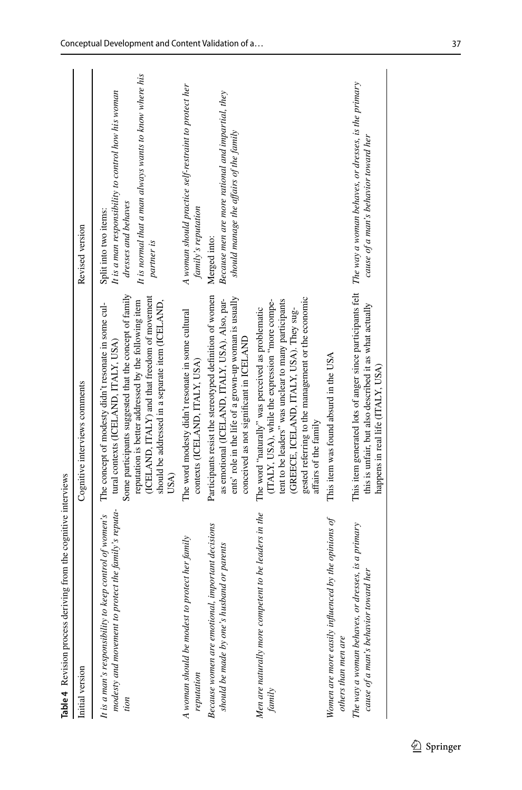<span id="page-11-0"></span>

| Table 4 Revision process deriving from the cognitive interviews                                                         |                                                                                                                                                                                                                                                                                                                            |                                                                                                                                                                             |
|-------------------------------------------------------------------------------------------------------------------------|----------------------------------------------------------------------------------------------------------------------------------------------------------------------------------------------------------------------------------------------------------------------------------------------------------------------------|-----------------------------------------------------------------------------------------------------------------------------------------------------------------------------|
| Initial version                                                                                                         | Cognitive interviews comments                                                                                                                                                                                                                                                                                              | Revised version                                                                                                                                                             |
| modesty and movement to protect the family's reputa-<br>It is a man's responsibility to keep control of women's<br>tion | Some participants suggested that the concept of family<br>(ICELAND, ITALY) and that freedom of movement<br>reputation is better addressed by the following item<br>should be addressed in a separate item (ICELAND,<br>The concept of modesty didn't resonate in some cul-<br>tural contexts (ICELAND, ITALY, USA)<br>USA) | It is normal that a man always wants to know where his<br>It is a man responsibility to control how his woman<br>dresses and behaves<br>Split into two items:<br>partner is |
| A woman should be modest to protect her family<br>reputation                                                            | The word modesty didn't resonate in some cultural<br>contexts (ICELAND, ITALY, USA)                                                                                                                                                                                                                                        | A woman should practice self-restraint to protect her<br>family's reputation                                                                                                |
| important decisions<br>should be made by one's husband or parents<br>Because women are emotional,                       | Participants resist the stereotyped definition of women<br>ents' role in the life of a grown-up woman is usually<br>as emotional (ICELAND, ITALY, USA). Also, par-<br>conceived as not significant in ICELAND                                                                                                              | Because men are more rational and impartial, they<br>should manage the affairs of the family<br>Merged into:                                                                |
| Men are naturally more competent to be leaders in the<br>family                                                         | gested referring to the management or the economic<br>tent to be leaders" was unclear to many participants<br>(ITALY, USA), while the expression "more compe-<br>The word "naturally" was perceived as problematic<br>(GREECE, ICELAND, ITALY, USA). They sug-<br>affairs of the family                                    |                                                                                                                                                                             |
| Women are more easily influenced by the opinions of<br>others than men are                                              | This item was found absurd in the USA                                                                                                                                                                                                                                                                                      |                                                                                                                                                                             |
| The way a woman behaves, or dresses, is a primary<br>cause of a man's behavior toward her                               | This item generated lots of anger since participants felt The way a woman behaves, or dresses, is the primary<br>this is unfair, but also described it as what actually<br>happens in real life (ITALY, USA)                                                                                                               | cause of a man's behavior toward her                                                                                                                                        |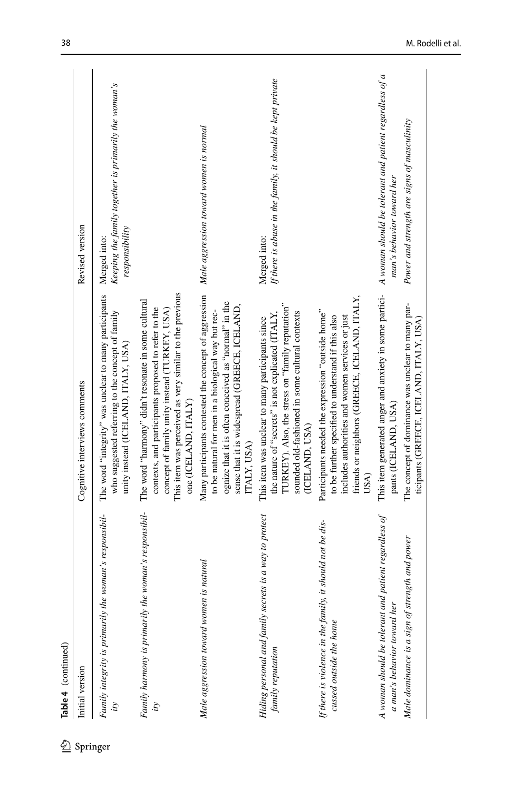|          | Table 4 (continued)                                                                     |                                                                                                                                                                                                                                                                            |                                                                                        |
|----------|-----------------------------------------------------------------------------------------|----------------------------------------------------------------------------------------------------------------------------------------------------------------------------------------------------------------------------------------------------------------------------|----------------------------------------------------------------------------------------|
|          | Initial version                                                                         | Cognitive interviews comments                                                                                                                                                                                                                                              | Revised version                                                                        |
| Springer | woman's responsibil-<br>Family integrity is primarily the<br>ij                         | The word "integrity" was unclear to many participants<br>who suggested referring to the concept of family<br>unity instead (ICELAND, ITALY, USA)                                                                                                                           | Keeping the family together is primarily the woman's<br>responsibility<br>Merged into: |
|          | Family harmony is primarily the woman's responsibil-                                    | This item was perceived as very similar to the previous<br>The word "harmony" didn't resonate in some cultural<br>contexts, and participants proposed to refer to the<br>concept of family unity instead (TURKEY, USA)<br>one (ICELAND, ITALY)                             |                                                                                        |
|          | is natural<br>Male aggression toward women                                              | Many participants contested the concept of aggression Male aggression toward women is normal<br>ognize that it is often conceived as "normal" in the<br>sense that it is widespread (GREECE, ICELAND,<br>to be natural for men in a biological way but rec-<br>ITALY, USA) |                                                                                        |
|          | Hiding personal and family secrets is a way to protect<br>family reputation             | TURKEY). Also, the stress on "family reputation"<br>sounded old-fashioned in some cultural contexts<br>the nature of "secrets" is not explicated (ITALY,<br>This item was unclear to many participants since<br>(ICELAND, USA)                                             | If there is abuse in the family, it should be kept private<br>Merged into:             |
|          | it should not be dis-<br>If there is violence in the family,<br>cussed outside the home | friends or neighbors (GREECE, ICELAND, ITALY,<br>Participants needed the expression "outside home"<br>to be further specified to understand if this also<br>includes authorities and women services or just<br>USA)                                                        |                                                                                        |
|          | patient regardless of<br>A woman should be tolerant and<br>a man's behavior toward her  | This item generated anger and anxiety in some partici-<br>pants (ICELAND, USA)                                                                                                                                                                                             | A woman should be tolerant and patient regardless of a<br>man's behavior toward her    |
|          | Male dominance is a sign of strength and power                                          | The concept of dominance was unclear to many par-<br>ticipants (GREECE, ICELAND, ITALY, USA)                                                                                                                                                                               | Power and strength are signs of masculinity                                            |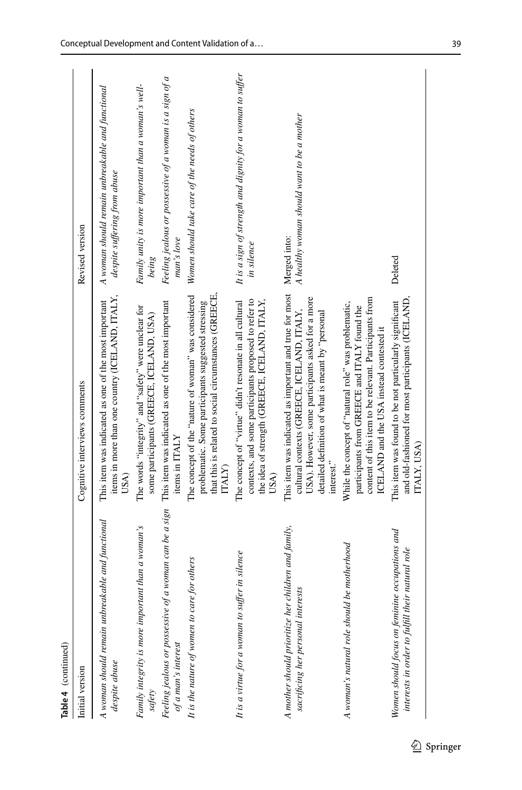| Table 4 (continued)                                                                                |                                                                                                                                                                                                                                           |                                                                                  |
|----------------------------------------------------------------------------------------------------|-------------------------------------------------------------------------------------------------------------------------------------------------------------------------------------------------------------------------------------------|----------------------------------------------------------------------------------|
| Initial version                                                                                    | Cognitive interviews comments                                                                                                                                                                                                             | Revised version                                                                  |
| A woman should remain unbreakable and functional<br>despite abuse                                  | items in more than one country (ICELAND, ITALY,<br>This item was indicated as one of the most important<br>USA)                                                                                                                           | A woman should remain unbreakable and functional<br>despite suffering from abuse |
| Family integrity is more important than a woman's<br>safety                                        | The words "integrity" and "safety" were unclear for<br>some participants (GREECE, ICELAND, USA)                                                                                                                                           | Family unity is more important than a woman's well-<br>being                     |
| Feeling jealous or possessive of a woman can be a sign<br>of a man's interest                      | This item was indicated as one of the most important<br>items in ITALY                                                                                                                                                                    | Feeling jealous or possessive of a woman is a sign of a<br>man's love            |
| It is the nature of women to care for others                                                       | that this is related to social circumstances (GREECE,<br>The concept of the "nature of woman" was considered<br>problematic. Some participants suggested stressing<br><b>ITALY</b>                                                        | Women should take care of the needs of others                                    |
| It is a virtue for a woman to suffer in silence                                                    | the idea of strength (GREECE, ICELAND, ITALY,<br>The concept of "virtue" didn't resonate in all cultural<br>contexts, and some participants proposed to refer to<br>USA)                                                                  | It is a sign of strength and dignity for a woman to suffer<br>in silence         |
| A mother should prioritize her children and family,<br>sacrificing her personal interests          | This item was indicated as important and true for most Merged into:<br>USA). However, some participants asked for a more<br>cultural contexts (GREECE, ICELAND, ITALY,<br>detailed definition of what is meant by "personal<br>interest." | A healthy woman should want to be a mother                                       |
| A woman's natural role should be motherhood                                                        | content of this item to be relevant. Participants from<br>While the concept of "natural role" was problematic,<br>participants from GREECE and ITALY found the<br>ICELAND and the USA instead contested it                                |                                                                                  |
| Women should focus on feminine occupations and<br>interests in order to fulfill their natural role | and old-fashioned for most participants (ICELAND,<br>This item was found to be not particularly significant<br>ITALY, USA)                                                                                                                | Deleted                                                                          |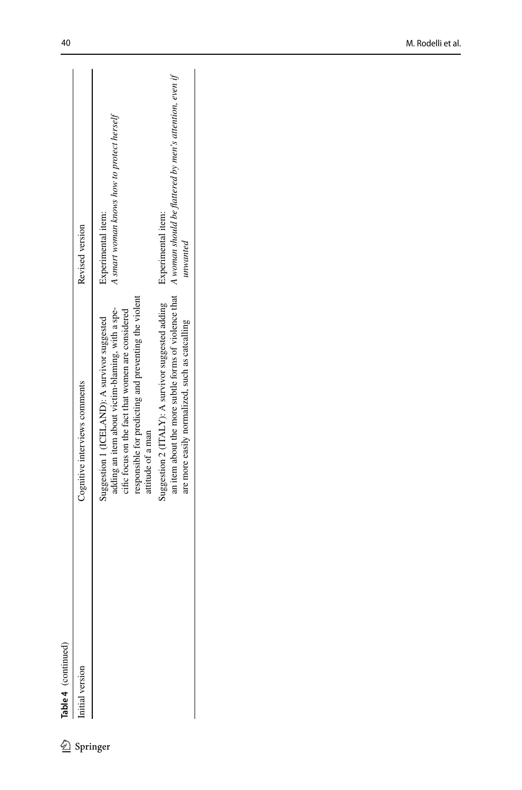|                   | Revised version               | A smart woman knows how to protect herself<br>Experimental item:                                                                                                                                                                    | an item about the more subtle forms of violence that A woman should be flattered by men's attention, even if<br>Experimental item:<br>unwanted |
|-------------------|-------------------------------|-------------------------------------------------------------------------------------------------------------------------------------------------------------------------------------------------------------------------------------|------------------------------------------------------------------------------------------------------------------------------------------------|
|                   | Cognitive interviews comments | responsible for predicting and preventing the violent<br>adding an item about victim-blaming, with a spe-<br>cific focus on the fact that women are considered<br>Suggestion 1 (ICELAND): A survivor suggested<br>attitude of a man | Suggestion 2 (ITALY): A survivor suggested adding<br>are more easily normalized, such as catcalling                                            |
| able 4 (continued | ritial version                | Springer                                                                                                                                                                                                                            |                                                                                                                                                |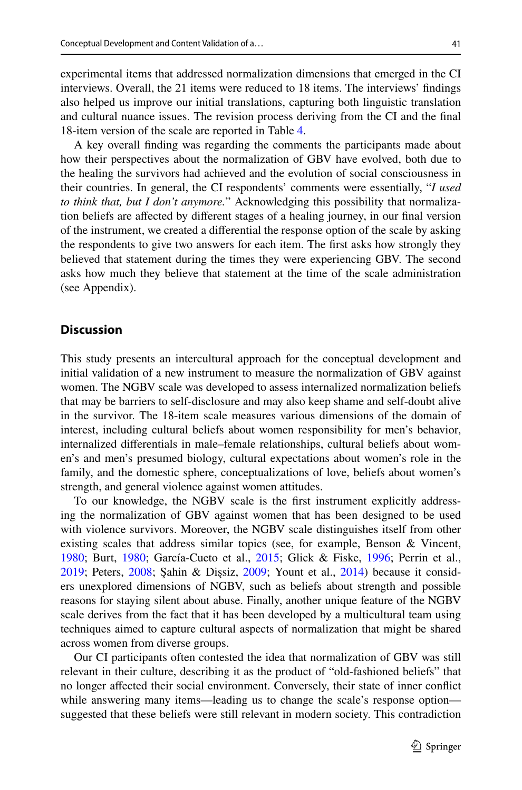experimental items that addressed normalization dimensions that emerged in the CI interviews. Overall, the 21 items were reduced to 18 items. The interviews' fndings also helped us improve our initial translations, capturing both linguistic translation and cultural nuance issues. The revision process deriving from the CI and the fnal 18-item version of the scale are reported in Table [4](#page-11-0).

A key overall fnding was regarding the comments the participants made about how their perspectives about the normalization of GBV have evolved, both due to the healing the survivors had achieved and the evolution of social consciousness in their countries. In general, the CI respondents' comments were essentially, "*I used to think that, but I don't anymore.*" Acknowledging this possibility that normalization beliefs are afected by diferent stages of a healing journey, in our fnal version of the instrument, we created a diferential the response option of the scale by asking the respondents to give two answers for each item. The frst asks how strongly they believed that statement during the times they were experiencing GBV. The second asks how much they believe that statement at the time of the scale administration (see Appendix).

### **Discussion**

This study presents an intercultural approach for the conceptual development and initial validation of a new instrument to measure the normalization of GBV against women. The NGBV scale was developed to assess internalized normalization beliefs that may be barriers to self-disclosure and may also keep shame and self-doubt alive in the survivor. The 18-item scale measures various dimensions of the domain of interest, including cultural beliefs about women responsibility for men's behavior, internalized diferentials in male–female relationships, cultural beliefs about women's and men's presumed biology, cultural expectations about women's role in the family, and the domestic sphere, conceptualizations of love, beliefs about women's strength, and general violence against women attitudes.

To our knowledge, the NGBV scale is the frst instrument explicitly addressing the normalization of GBV against women that has been designed to be used with violence survivors. Moreover, the NGBV scale distinguishes itself from other existing scales that address similar topics (see, for example, Benson & Vincent, [1980](#page-19-6); Burt, [1980;](#page-19-5) García-Cueto et al., [2015](#page-20-14); Glick & Fiske, [1996;](#page-20-15) Perrin et al., [2019](#page-20-11); Peters, [2008](#page-20-12); Şahin & Dişsiz, [2009;](#page-20-13) Yount et al., [2014\)](#page-21-7) because it considers unexplored dimensions of NGBV, such as beliefs about strength and possible reasons for staying silent about abuse. Finally, another unique feature of the NGBV scale derives from the fact that it has been developed by a multicultural team using techniques aimed to capture cultural aspects of normalization that might be shared across women from diverse groups.

Our CI participants often contested the idea that normalization of GBV was still relevant in their culture, describing it as the product of "old-fashioned beliefs" that no longer afected their social environment. Conversely, their state of inner confict while answering many items—leading us to change the scale's response option suggested that these beliefs were still relevant in modern society. This contradiction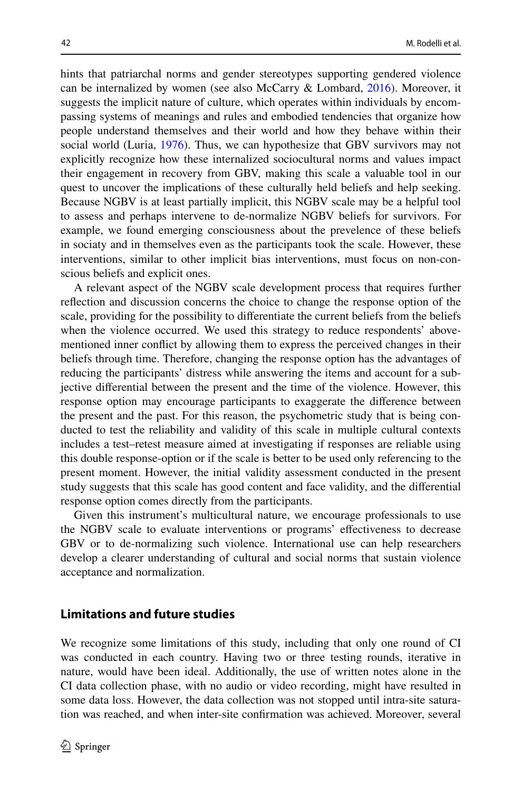hints that patriarchal norms and gender stereotypes supporting gendered violence can be internalized by women (see also McCarry & Lombard, [2016](#page-20-18)). Moreover, it suggests the implicit nature of culture, which operates within individuals by encompassing systems of meanings and rules and embodied tendencies that organize how people understand themselves and their world and how they behave within their social world (Luria, [1976\)](#page-20-19). Thus, we can hypothesize that GBV survivors may not explicitly recognize how these internalized sociocultural norms and values impact their engagement in recovery from GBV, making this scale a valuable tool in our quest to uncover the implications of these culturally held beliefs and help seeking. Because NGBV is at least partially implicit, this NGBV scale may be a helpful tool to assess and perhaps intervene to de-normalize NGBV beliefs for survivors. For example, we found emerging consciousness about the prevelence of these beliefs in sociaty and in themselves even as the participants took the scale. However, these interventions, similar to other implicit bias interventions, must focus on non-conscious beliefs and explicit ones.

A relevant aspect of the NGBV scale development process that requires further refection and discussion concerns the choice to change the response option of the scale, providing for the possibility to diferentiate the current beliefs from the beliefs when the violence occurred. We used this strategy to reduce respondents' abovementioned inner confict by allowing them to express the perceived changes in their beliefs through time. Therefore, changing the response option has the advantages of reducing the participants' distress while answering the items and account for a subjective diferential between the present and the time of the violence. However, this response option may encourage participants to exaggerate the diference between the present and the past. For this reason, the psychometric study that is being conducted to test the reliability and validity of this scale in multiple cultural contexts includes a test–retest measure aimed at investigating if responses are reliable using this double response-option or if the scale is better to be used only referencing to the present moment. However, the initial validity assessment conducted in the present study suggests that this scale has good content and face validity, and the diferential response option comes directly from the participants.

Given this instrument's multicultural nature, we encourage professionals to use the NGBV scale to evaluate interventions or programs' efectiveness to decrease GBV or to de-normalizing such violence. International use can help researchers develop a clearer understanding of cultural and social norms that sustain violence acceptance and normalization.

### **Limitations and future studies**

We recognize some limitations of this study, including that only one round of CI was conducted in each country. Having two or three testing rounds, iterative in nature, would have been ideal. Additionally, the use of written notes alone in the CI data collection phase, with no audio or video recording, might have resulted in some data loss. However, the data collection was not stopped until intra-site saturation was reached, and when inter-site confrmation was achieved. Moreover, several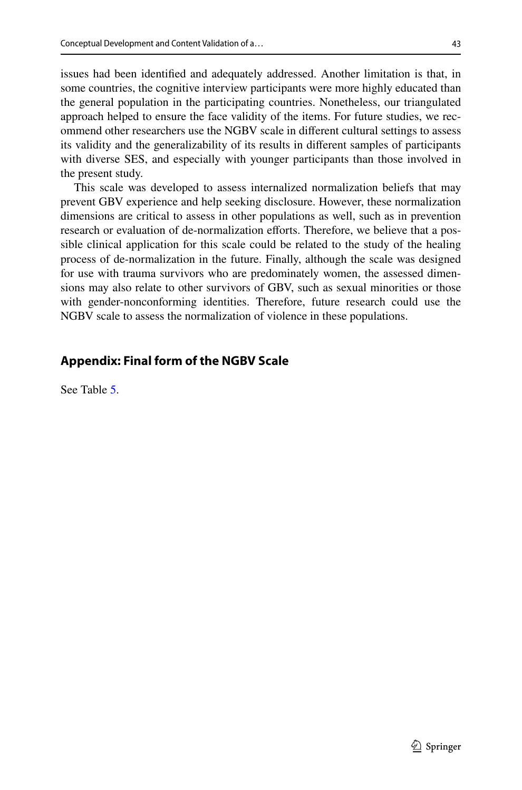issues had been identifed and adequately addressed. Another limitation is that, in some countries, the cognitive interview participants were more highly educated than the general population in the participating countries. Nonetheless, our triangulated approach helped to ensure the face validity of the items. For future studies, we recommend other researchers use the NGBV scale in diferent cultural settings to assess its validity and the generalizability of its results in diferent samples of participants with diverse SES, and especially with younger participants than those involved in the present study.

This scale was developed to assess internalized normalization beliefs that may prevent GBV experience and help seeking disclosure. However, these normalization dimensions are critical to assess in other populations as well, such as in prevention research or evaluation of de-normalization efforts. Therefore, we believe that a possible clinical application for this scale could be related to the study of the healing process of de-normalization in the future. Finally, although the scale was designed for use with trauma survivors who are predominately women, the assessed dimensions may also relate to other survivors of GBV, such as sexual minorities or those with gender-nonconforming identities. Therefore, future research could use the NGBV scale to assess the normalization of violence in these populations.

# **Appendix: Final form of the NGBV Scale**

See Table [5.](#page-18-0)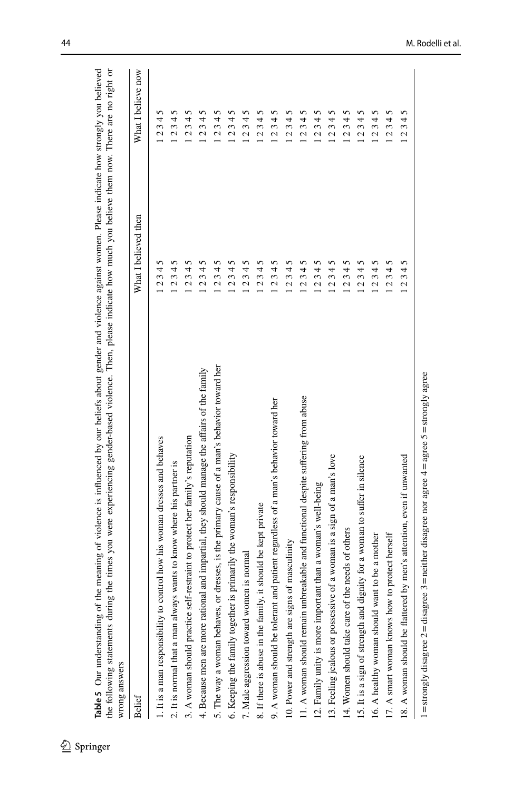| <b>Belief</b>                                                                                | What I believed then | What I believe now                    |
|----------------------------------------------------------------------------------------------|----------------------|---------------------------------------|
| 1. It is a man responsibility to control how his woman dresses and behaves                   | 5<br>1234            | 5<br>4<br>23                          |
| 2. It is normal that a man always wants to know where his partner is                         | n<br>.234            | n<br>234                              |
| 3. A woman should practice self-restraint to protect her family's reputation                 | 5<br>234.            | n<br>4<br>3<br>2                      |
| 4. Because men are more rational and impartial, they should manage the affairs of the family | 5<br>234             | 5<br>34<br>$\mathcal{L}$              |
| 5. The way a woman behaves, or dresses, is the primary cause of a man's behavior toward her  | 5<br>$-234$          | 5<br>234                              |
| is primarily the woman's responsibility<br>6. Keeping the family together                    | 5<br>234             | 5<br>4<br>3<br>2                      |
| nen is normal<br>7. Male aggression toward wom                                               | $-2345$              | 12345                                 |
| 8. If there is abuse in the family, it should be kept private                                | 5<br>234             | 5<br>34<br>$\mathbf{\Omega}$          |
| 9. A woman should be tolerant and patient regardless of a man's behavior toward her          | n<br>.234            | n<br>4<br>3<br>2                      |
| 10. Power and strength are signs of masculinity                                              | 5<br>.234            | 2345                                  |
| 11. A woman should remain unbreakable and functional despite suffering from abuse            | 5<br>234.            | 5<br>234.                             |
| 12. Family unity is more important than a woman's well-being                                 | 5<br>234             | 5<br>4<br>3<br>2                      |
| 13. Feeling jealous or possessive of a woman is a sign of a man's love                       | 12345                | 5<br>234                              |
| 14. Women should take care of the needs of others                                            | 2345                 | 5<br>4<br>3<br>2                      |
| 15. It is a sign of strength and dignity for a woman to suffer in silence                    | .345<br>2            | 5<br>34<br>$\mathbf{\Omega}$          |
| 16. A healthy woman should want to be a mother                                               | 2345                 | n<br>234                              |
| to protect herself<br>17. A smart woman knows how                                            | 345<br>2             | 5<br>34<br>2                          |
| 18. A woman should be flattered by men's attention, even if unwanted                         | .345<br>$\mathbf{c}$ | 5<br>4<br>$\epsilon$<br>$\mathcal{L}$ |

Table 5 Our understanding of the meaning of violence is influenced by our beliefs about gender and violence against women. Please indicate how strongly you believed 1999<br>Spring Solution understanding of the meaning of violence is influenced by our beliefs about gender and violence against women. Please indicate how strongly you believed<br>Table 5 Our understanding of the meaning of viol

<span id="page-18-0"></span> $\underline{\textcircled{\tiny 2}}$  Springer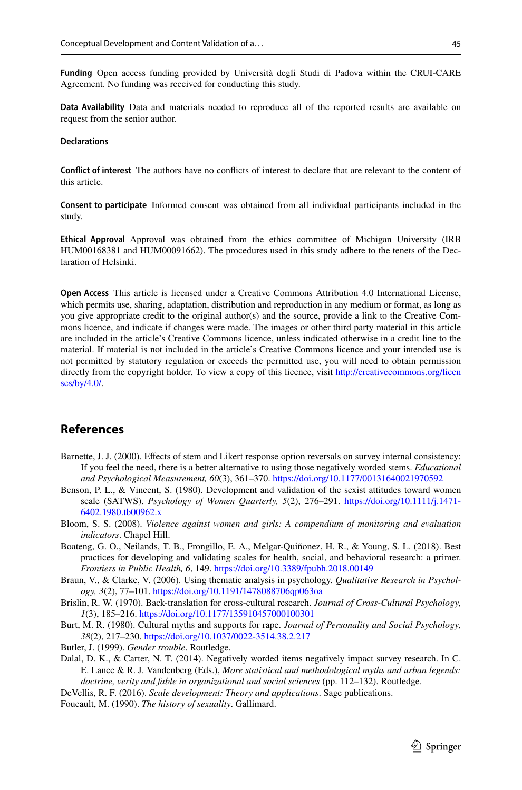**Funding** Open access funding provided by Università degli Studi di Padova within the CRUI-CARE Agreement. No funding was received for conducting this study.

**Data Availability** Data and materials needed to reproduce all of the reported results are available on request from the senior author.

#### **Declarations**

**Confict of interest** The authors have no conficts of interest to declare that are relevant to the content of this article.

**Consent to participate** Informed consent was obtained from all individual participants included in the study.

**Ethical Approval** Approval was obtained from the ethics committee of Michigan University (IRB HUM00168381 and HUM00091662). The procedures used in this study adhere to the tenets of the Declaration of Helsinki.

**Open Access** This article is licensed under a Creative Commons Attribution 4.0 International License, which permits use, sharing, adaptation, distribution and reproduction in any medium or format, as long as you give appropriate credit to the original author(s) and the source, provide a link to the Creative Commons licence, and indicate if changes were made. The images or other third party material in this article are included in the article's Creative Commons licence, unless indicated otherwise in a credit line to the material. If material is not included in the article's Creative Commons licence and your intended use is not permitted by statutory regulation or exceeds the permitted use, you will need to obtain permission directly from the copyright holder. To view a copy of this licence, visit [http://creativecommons.org/licen](http://creativecommons.org/licenses/by/4.0/) [ses/by/4.0/](http://creativecommons.org/licenses/by/4.0/).

# **References**

- <span id="page-19-7"></span>Barnette, J. J. (2000). Efects of stem and Likert response option reversals on survey internal consistency: If you feel the need, there is a better alternative to using those negatively worded stems. *Educational and Psychological Measurement, 60*(3), 361–370. <https://doi.org/10.1177/00131640021970592>
- <span id="page-19-6"></span>Benson, P. L., & Vincent, S. (1980). Development and validation of the sexist attitudes toward women scale (SATWS). *Psychology of Women Quarterly, 5*(2), 276–291. [https://doi.org/10.1111/j.1471-](https://doi.org/10.1111/j.1471-6402.1980.tb00962.x) [6402.1980.tb00962.x](https://doi.org/10.1111/j.1471-6402.1980.tb00962.x)
- <span id="page-19-2"></span>Bloom, S. S. (2008). *Violence against women and girls: A compendium of monitoring and evaluation indicators*. Chapel Hill.
- <span id="page-19-3"></span>Boateng, G. O., Neilands, T. B., Frongillo, E. A., Melgar-Quiñonez, H. R., & Young, S. L. (2018). Best practices for developing and validating scales for health, social, and behavioral research: a primer. *Frontiers in Public Health, 6*, 149.<https://doi.org/10.3389/fpubh.2018.00149>
- <span id="page-19-4"></span>Braun, V., & Clarke, V. (2006). Using thematic analysis in psychology. *Qualitative Research in Psychology, 3*(2), 77–101. <https://doi.org/10.1191/1478088706qp063oa>
- <span id="page-19-10"></span>Brislin, R. W. (1970). Back-translation for cross-cultural research. *Journal of Cross-Cultural Psychology, 1*(3), 185–216.<https://doi.org/10.1177/135910457000100301>
- <span id="page-19-5"></span>Burt, M. R. (1980). Cultural myths and supports for rape. *Journal of Personality and Social Psychology, 38*(2), 217–230.<https://doi.org/10.1037/0022-3514.38.2.217>
- <span id="page-19-1"></span>Butler, J. (1999). *Gender trouble*. Routledge.
- <span id="page-19-8"></span>Dalal, D. K., & Carter, N. T. (2014). Negatively worded items negatively impact survey research. In C. E. Lance & R. J. Vandenberg (Eds.), *More statistical and methodological myths and urban legends: doctrine, verity and fable in organizational and social sciences* (pp. 112–132). Routledge.
- <span id="page-19-9"></span>DeVellis, R. F. (2016). *Scale development: Theory and applications*. Sage publications.
- <span id="page-19-0"></span>Foucault, M. (1990). *The history of sexuality*. Gallimard.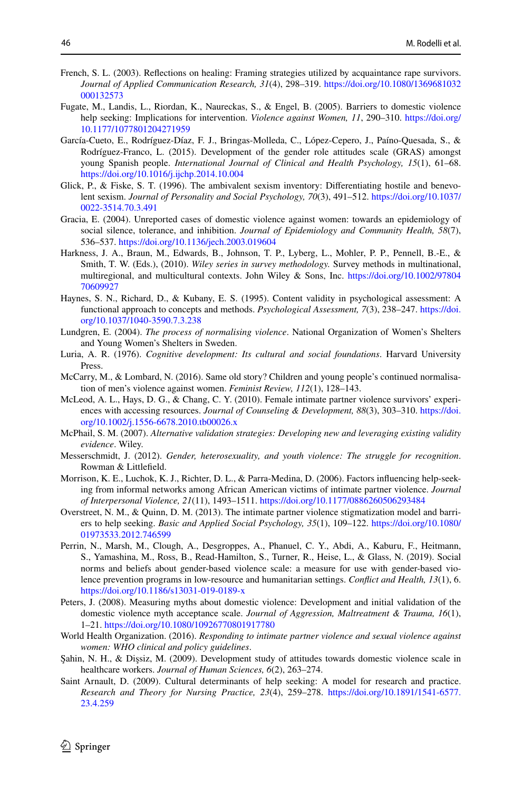- <span id="page-20-2"></span>French, S. L. (2003). Refections on healing: Framing strategies utilized by acquaintance rape survivors. *Journal of Applied Communication Research, 31*(4), 298–319. [https://doi.org/10.1080/1369681032](https://doi.org/10.1080/1369681032000132573) [000132573](https://doi.org/10.1080/1369681032000132573)
- <span id="page-20-5"></span>Fugate, M., Landis, L., Riordan, K., Naureckas, S., & Engel, B. (2005). Barriers to domestic violence help seeking: Implications for intervention. *Violence against Women, 11*, 290–310. [https://doi.org/](https://doi.org/10.1177/1077801204271959) [10.1177/1077801204271959](https://doi.org/10.1177/1077801204271959)
- <span id="page-20-14"></span>García-Cueto, E., Rodríguez-Díaz, F. J., Bringas-Molleda, C., López-Cepero, J., Paíno-Quesada, S., & Rodríguez-Franco, L. (2015). Development of the gender role attitudes scale (GRAS) amongst young Spanish people. *International Journal of Clinical and Health Psychology, 15*(1), 61–68. <https://doi.org/10.1016/j.ijchp.2014.10.004>
- <span id="page-20-15"></span>Glick, P., & Fiske, S. T. (1996). The ambivalent sexism inventory: Differentiating hostile and benevolent sexism. *Journal of Personality and Social Psychology, 70*(3), 491–512. [https://doi.org/10.1037/](https://doi.org/10.1037/0022-3514.70.3.491) [0022-3514.70.3.491](https://doi.org/10.1037/0022-3514.70.3.491)
- <span id="page-20-1"></span>Gracia, E. (2004). Unreported cases of domestic violence against women: towards an epidemiology of social silence, tolerance, and inhibition. *Journal of Epidemiology and Community Health, 58*(7), 536–537.<https://doi.org/10.1136/jech.2003.019604>
- <span id="page-20-10"></span>Harkness, J. A., Braun, M., Edwards, B., Johnson, T. P., Lyberg, L., Mohler, P. P., Pennell, B.-E., & Smith, T. W. (Eds.), (2010). *Wiley series in survey methodology.* Survey methods in multinational, multiregional, and multicultural contexts. John Wiley & Sons, Inc. [https://doi.org/10.1002/97804](https://doi.org/10.1002/9780470609927) [70609927](https://doi.org/10.1002/9780470609927)
- <span id="page-20-17"></span>Haynes, S. N., Richard, D., & Kubany, E. S. (1995). Content validity in psychological assessment: A functional approach to concepts and methods. *Psychological Assessment, 7*(3), 238–247. [https://doi.](https://doi.org/10.1037/1040-3590.7.3.238) [org/10.1037/1040-3590.7.3.238](https://doi.org/10.1037/1040-3590.7.3.238)
- <span id="page-20-4"></span>Lundgren, E. (2004). *The process of normalising violence*. National Organization of Women's Shelters and Young Women's Shelters in Sweden.
- <span id="page-20-19"></span>Luria, A. R. (1976). *Cognitive development: Its cultural and social foundations*. Harvard University Press.
- <span id="page-20-18"></span>McCarry, M., & Lombard, N. (2016). Same old story? Children and young people's continued normalisation of men's violence against women. *Feminist Review, 112*(1), 128–143.
- <span id="page-20-9"></span>McLeod, A. L., Hays, D. G., & Chang, C. Y. (2010). Female intimate partner violence survivors' experiences with accessing resources. *Journal of Counseling & Development, 88*(3), 303–310. [https://doi.](https://doi.org/10.1002/j.1556-6678.2010.tb00026.x) [org/10.1002/j.1556-6678.2010.tb00026.x](https://doi.org/10.1002/j.1556-6678.2010.tb00026.x)
- <span id="page-20-16"></span>McPhail, S. M. (2007). *Alternative validation strategies: Developing new and leveraging existing validity evidence*. Wiley.
- <span id="page-20-3"></span>Messerschmidt, J. (2012). *Gender, heterosexuality, and youth violence: The struggle for recognition*. Rowman & Littlefeld.
- <span id="page-20-6"></span>Morrison, K. E., Luchok, K. J., Richter, D. L., & Parra-Medina, D. (2006). Factors infuencing help-seeking from informal networks among African American victims of intimate partner violence. *Journal of Interpersonal Violence, 21*(11), 1493–1511. <https://doi.org/10.1177/0886260506293484>
- <span id="page-20-7"></span>Overstreet, N. M., & Quinn, D. M. (2013). The intimate partner violence stigmatization model and barriers to help seeking. *Basic and Applied Social Psychology, 35*(1), 109–122. [https://doi.org/10.1080/](https://doi.org/10.1080/01973533.2012.746599) [01973533.2012.746599](https://doi.org/10.1080/01973533.2012.746599)
- <span id="page-20-11"></span>Perrin, N., Marsh, M., Clough, A., Desgroppes, A., Phanuel, C. Y., Abdi, A., Kaburu, F., Heitmann, S., Yamashina, M., Ross, B., Read-Hamilton, S., Turner, R., Heise, L., & Glass, N. (2019). Social norms and beliefs about gender-based violence scale: a measure for use with gender-based violence prevention programs in low-resource and humanitarian settings. *Confict and Health, 13*(1), 6. <https://doi.org/10.1186/s13031-019-0189-x>
- <span id="page-20-12"></span>Peters, J. (2008). Measuring myths about domestic violence: Development and initial validation of the domestic violence myth acceptance scale. *Journal of Aggression, Maltreatment & Trauma, 16*(1), 1–21.<https://doi.org/10.1080/10926770801917780>
- <span id="page-20-0"></span>World Health Organization. (2016). *Responding to intimate partner violence and sexual violence against women: WHO clinical and policy guidelines*.
- <span id="page-20-13"></span>Şahin, N. H., & Dişsiz, M. (2009). Development study of attitudes towards domestic violence scale in healthcare workers. *Journal of Human Sciences, 6*(2), 263–274.
- <span id="page-20-8"></span>Saint Arnault, D. (2009). Cultural determinants of help seeking: A model for research and practice. *Research and Theory for Nursing Practice, 23*(4), 259–278. [https://doi.org/10.1891/1541-6577.](https://doi.org/10.1891/1541-6577.23.4.259) [23.4.259](https://doi.org/10.1891/1541-6577.23.4.259)